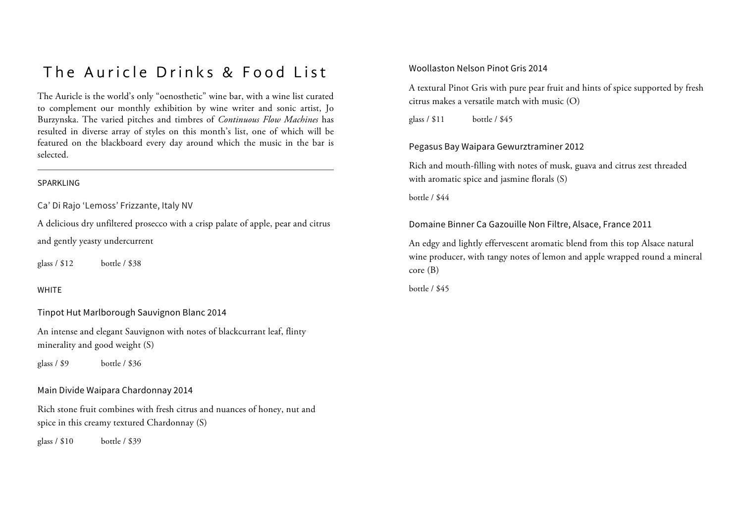# The Auricle Drinks & Food List

The Auricle is the world's only "oenosthetic" wine bar, with a wine list curated to complement our monthly exhibition by wine writer and sonic artist, Jo Burzynska. The varied pitches and timbres of *Continuous Flow Machines* has resulted in diverse array of styles on this month's list, one of which will be featured on the blackboard every day around which the music in the bar is selected.

#### SPARKLING

Ca' Di Rajo 'Lemoss' Frizzante, Italy NV

A delicious dry unfiltered prosecco with a crisp palate of apple, pear and citrus and gently yeasty undercurrent

glass / \$12 bottle / \$38

# WHITE

Tinpot Hut Marlborough Sauvignon Blanc 2014

An intense and elegant Sauvignon with notes of blackcurrant leaf, flinty minerality and good weight (S)

glass / \$9 bottle / \$36

#### Main Divide Waipara Chardonnay 2014

Rich stone fruit combines with fresh citrus and nuances of honey, nut and spice in this creamy textured Chardonnay (S)

glass / \$10 bottle / \$39

#### Woollaston Nelson Pinot Gris 2014

A textural Pinot Gris with pure pear fruit and hints of spice supported by fresh citrus makes a versatile match with music (O)

glass / \$11 bottle / \$45

# Pegasus Bay Waipara Gewurztraminer 2012

Rich and mouth-filling with notes of musk, guava and citrus zest threaded with aromatic spice and jasmine florals (S)

bottle / \$44

Domaine Binner Ca Gazouille Non Filtre, Alsace, France 2011

An edgy and lightly effervescent aromatic blend from this top Alsace natural wine producer, with tangy notes of lemon and apple wrapped round a mineral core (B)

bottle / \$45